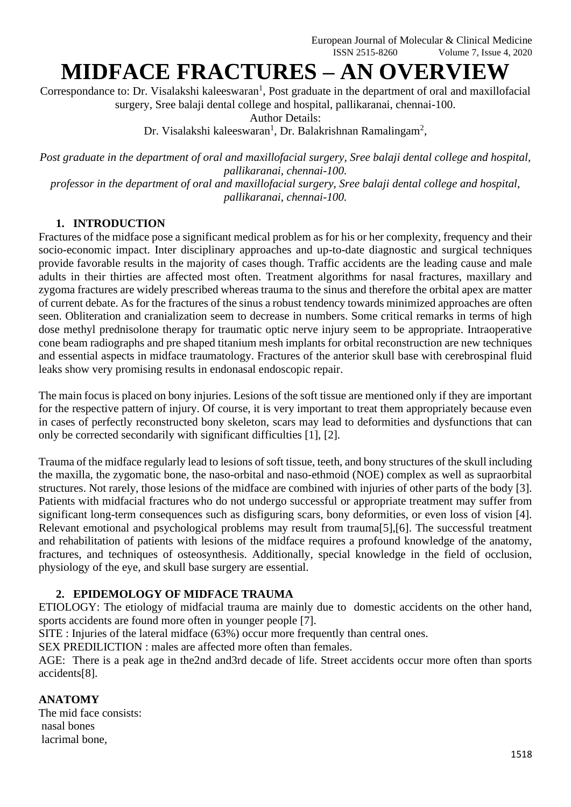# **MIDFACE FRACTURES – AN OVERVIEW**

Correspondance to: Dr. Visalakshi kaleeswaran<sup>1</sup>, Post graduate in the department of oral and maxillofacial surgery, Sree balaji dental college and hospital, pallikaranai, chennai-100.

Author Details:

Dr. Visalakshi kaleeswaran<sup>1</sup>, Dr. Balakrishnan Ramalingam<sup>2</sup>,

*Post graduate in the department of oral and maxillofacial surgery, Sree balaji dental college and hospital, pallikaranai, chennai-100.*

*professor in the department of oral and maxillofacial surgery, Sree balaji dental college and hospital, pallikaranai, chennai-100.*

## **1. INTRODUCTION**

Fractures of the midface pose a significant medical problem as for his or her complexity, frequency and their socio-economic impact. Inter disciplinary approaches and up-to-date diagnostic and surgical techniques provide favorable results in the majority of cases though. Traffic accidents are the leading cause and male adults in their thirties are affected most often. Treatment algorithms for nasal fractures, maxillary and zygoma fractures are widely prescribed whereas trauma to the sinus and therefore the orbital apex are matter of current debate. As for the fractures of the sinus a robust tendency towards minimized approaches are often seen. Obliteration and cranialization seem to decrease in numbers. Some critical remarks in terms of high dose methyl prednisolone therapy for traumatic optic nerve injury seem to be appropriate. Intraoperative cone beam radiographs and pre shaped titanium mesh implants for orbital reconstruction are new techniques and essential aspects in midface traumatology. Fractures of the anterior skull base with cerebrospinal fluid leaks show very promising results in endonasal endoscopic repair.

The main focus is placed on bony injuries. Lesions of the soft tissue are mentioned only if they are important for the respective pattern of injury. Of course, it is very important to treat them appropriately because even in cases of perfectly reconstructed bony skeleton, scars may lead to deformities and dysfunctions that can only be corrected secondarily with significant difficulties [1], [2].

Trauma of the midface regularly lead to lesions of soft tissue, teeth, and bony structures of the skull including the maxilla, the zygomatic bone, the naso-orbital and naso-ethmoid (NOE) complex as well as supraorbital structures. Not rarely, those lesions of the midface are combined with injuries of other parts of the body [3]. Patients with midfacial fractures who do not undergo successful or appropriate treatment may suffer from significant long-term consequences such as disfiguring scars, bony deformities, or even loss of vision [4]. Relevant emotional and psychological problems may result from trauma[5],[6]. The successful treatment and rehabilitation of patients with lesions of the midface requires a profound knowledge of the anatomy, fractures, and techniques of osteosynthesis. Additionally, special knowledge in the field of occlusion, physiology of the eye, and skull base surgery are essential.

# **2. EPIDEMOLOGY OF MIDFACE TRAUMA**

ETIOLOGY: The etiology of midfacial trauma are mainly due to domestic accidents on the other hand, sports accidents are found more often in younger people [7].

SITE : Injuries of the lateral midface (63%) occur more frequently than central ones.

SEX PREDILICTION : males are affected more often than females.

AGE: There is a peak age in the2nd and3rd decade of life. Street accidents occur more often than sports accidents[8].

## **ANATOMY**

The mid face consists: nasal bones lacrimal bone,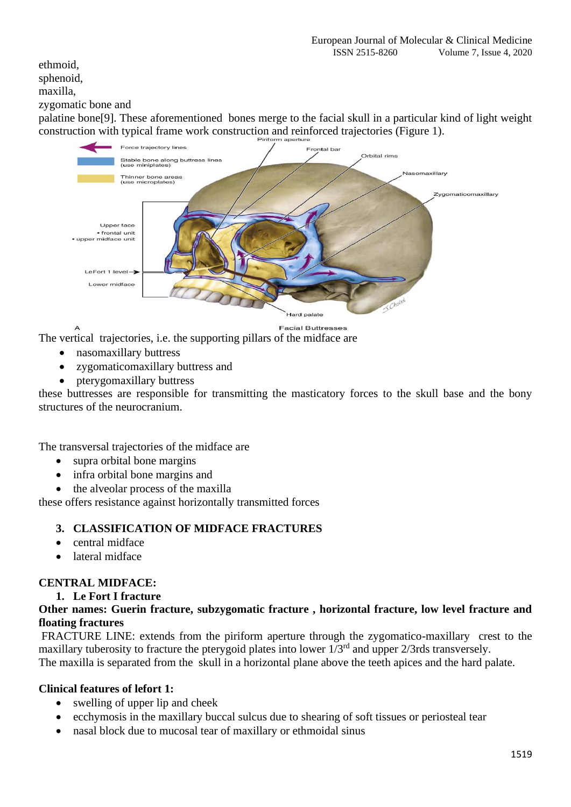ethmoid, sphenoid,

#### maxilla,

#### zygomatic bone and

palatine bone[9]. These aforementioned bones merge to the facial skull in a particular kind of light weight construction with typical frame work construction and reinforced trajectories (Figure 1).



**Facial Buttresses** 

The vertical trajectories, i.e. the supporting pillars of the midface are

- nasomaxillary buttress
- zygomaticomaxillary buttress and
- pterygomaxillary buttress

these buttresses are responsible for transmitting the masticatory forces to the skull base and the bony structures of the neurocranium.

The transversal trajectories of the midface are

- supra orbital bone margins
- infra orbital bone margins and
- the alveolar process of the maxilla

these offers resistance against horizontally transmitted forces

## **3. CLASSIFICATION OF MIDFACE FRACTURES**

- central midface
- lateral midface

# **CENTRAL MIDFACE:**

**1. Le Fort I fracture**

## **Other names: Guerin fracture, subzygomatic fracture , horizontal fracture, low level fracture and floating fractures**

FRACTURE LINE: extends from the piriform aperture through the zygomatico-maxillary crest to the maxillary tuberosity to fracture the pterygoid plates into lower  $1/3<sup>rd</sup>$  and upper  $2/3$ rds transversely.

The maxilla is separated from the skull in a horizontal plane above the teeth apices and the hard palate.

## **Clinical features of lefort 1:**

- swelling of upper lip and cheek
- ecchymosis in the maxillary buccal sulcus due to shearing of soft tissues or periosteal tear
- nasal block due to mucosal tear of maxillary or ethmoidal sinus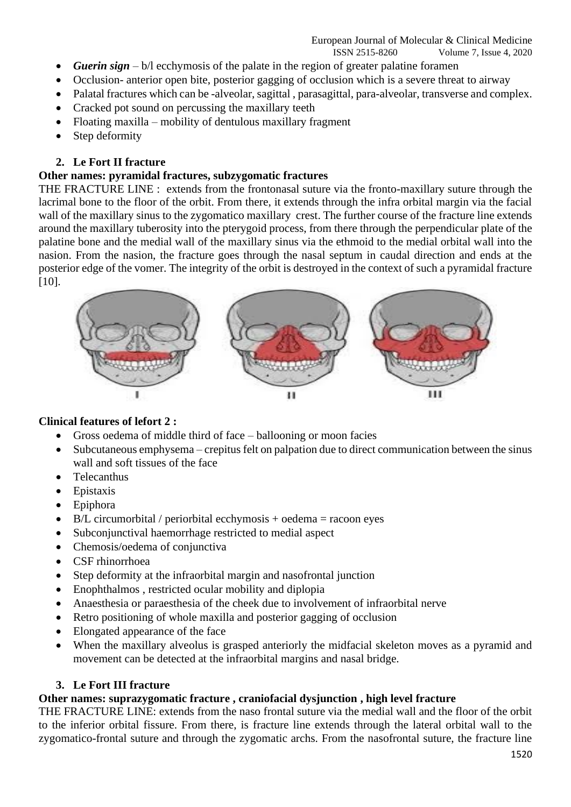European Journal of Molecular & Clinical Medicine ISSN 2515-8260 Volume 7, Issue 4, 2020

- *Guerin sign* b/l ecchymosis of the palate in the region of greater palatine foramen
- Occlusion- anterior open bite, posterior gagging of occlusion which is a severe threat to airway
- Palatal fractures which can be -alveolar, sagittal, parasagittal, para-alveolar, transverse and complex.
- Cracked pot sound on percussing the maxillary teeth
- Floating maxilla mobility of dentulous maxillary fragment
- Step deformity

#### **2. Le Fort II fracture**

#### **Other names: pyramidal fractures, subzygomatic fractures**

THE FRACTURE LINE : extends from the frontonasal suture via the fronto-maxillary suture through the lacrimal bone to the floor of the orbit. From there, it extends through the infra orbital margin via the facial wall of the maxillary sinus to the zygomatico maxillary crest. The further course of the fracture line extends around the maxillary tuberosity into the pterygoid process, from there through the perpendicular plate of the palatine bone and the medial wall of the maxillary sinus via the ethmoid to the medial orbital wall into the nasion. From the nasion, the fracture goes through the nasal septum in caudal direction and ends at the posterior edge of the vomer. The integrity of the orbit is destroyed in the context of such a pyramidal fracture [10].



#### **Clinical features of lefort 2 :**

- Gross oedema of middle third of face ballooning or moon facies
- Subcutaneous emphysema crepitus felt on palpation due to direct communication between the sinus wall and soft tissues of the face
- Telecanthus
- Epistaxis
- Epiphora
- B/L circumorbital / periorbital ecchymosis + oedema = racoon eyes
- Subconjunctival haemorrhage restricted to medial aspect
- Chemosis/oedema of conjunctiva
- CSF rhinorrhoea
- Step deformity at the infraorbital margin and nasofrontal junction
- Enophthalmos , restricted ocular mobility and diplopia
- Anaesthesia or paraesthesia of the cheek due to involvement of infraorbital nerve
- Retro positioning of whole maxilla and posterior gagging of occlusion
- Elongated appearance of the face
- When the maxillary alveolus is grasped anteriorly the midfacial skeleton moves as a pyramid and movement can be detected at the infraorbital margins and nasal bridge.

#### **3. Le Fort III fracture**

## **Other names: suprazygomatic fracture , craniofacial dysjunction , high level fracture**

THE FRACTURE LINE: extends from the naso frontal suture via the medial wall and the floor of the orbit to the inferior orbital fissure. From there, is fracture line extends through the lateral orbital wall to the zygomatico-frontal suture and through the zygomatic archs. From the nasofrontal suture, the fracture line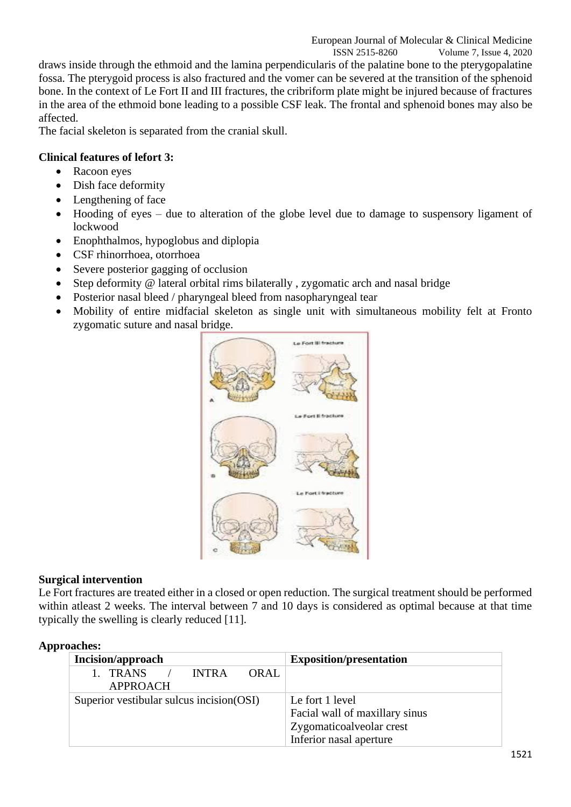ISSN 2515-8260 Volume 7, Issue 4, 2020 draws inside through the ethmoid and the lamina perpendicularis of the palatine bone to the pterygopalatine fossa. The pterygoid process is also fractured and the vomer can be severed at the transition of the sphenoid bone. In the context of Le Fort II and III fractures, the cribriform plate might be injured because of fractures in the area of the ethmoid bone leading to a possible CSF leak. The frontal and sphenoid bones may also be affected.

The facial skeleton is separated from the cranial skull.

# **Clinical features of lefort 3:**

- Racoon eyes
- Dish face deformity
- Lengthening of face
- Hooding of eyes due to alteration of the globe level due to damage to suspensory ligament of lockwood
- Enophthalmos, hypoglobus and diplopia
- CSF rhinorrhoea, otorrhoea
- Severe posterior gagging of occlusion
- Step deformity @ lateral orbital rims bilaterally, zygomatic arch and nasal bridge
- Posterior nasal bleed / pharyngeal bleed from nasopharyngeal tear
- Mobility of entire midfacial skeleton as single unit with simultaneous mobility felt at Fronto zygomatic suture and nasal bridge.



## **Surgical intervention**

Le Fort fractures are treated either in a closed or open reduction. The surgical treatment should be performed within atleast 2 weeks. The interval between 7 and 10 days is considered as optimal because at that time typically the swelling is clearly reduced [11].

| .                                                 |                                                                                                          |  |
|---------------------------------------------------|----------------------------------------------------------------------------------------------------------|--|
| <b>Incision/approach</b>                          | <b>Exposition/presentation</b>                                                                           |  |
| 1. TRANS<br>ORAL.<br>$/$ INTRA<br><b>APPROACH</b> |                                                                                                          |  |
| Superior vestibular sulcus incision (OSI)         | Le fort 1 level<br>Facial wall of maxillary sinus<br>Zygomaticoalveolar crest<br>Inferior nasal aperture |  |

#### **Approaches:**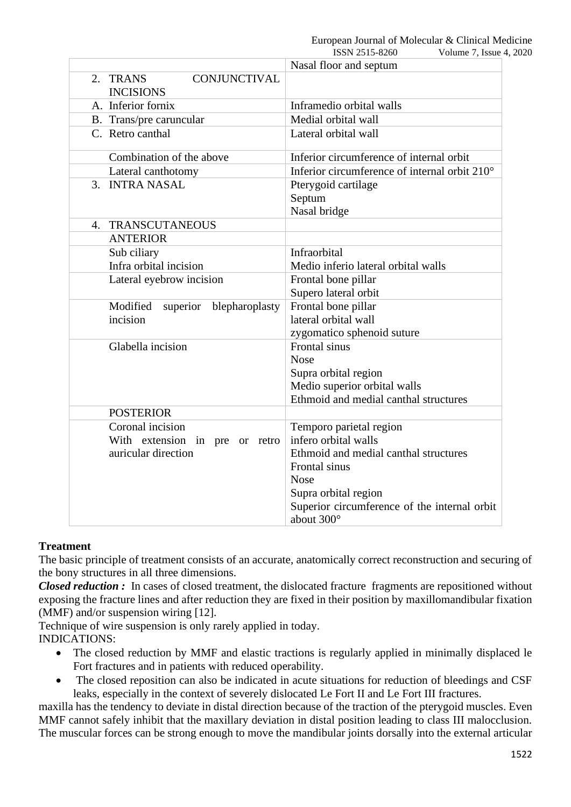|    |                                                     | ISSN 2515-8260<br>Volume 7, Issue 4, 2020                  |
|----|-----------------------------------------------------|------------------------------------------------------------|
|    |                                                     | Nasal floor and septum                                     |
|    | <b>CONJUNCTIVAL</b><br>2. TRANS<br><b>INCISIONS</b> |                                                            |
|    | A. Inferior fornix                                  | Inframedio orbital walls                                   |
|    | B. Trans/pre caruncular                             | Medial orbital wall                                        |
|    | C. Retro canthal                                    | Lateral orbital wall                                       |
|    | Combination of the above                            | Inferior circumference of internal orbit                   |
|    | Lateral canthotomy                                  | Inferior circumference of internal orbit 210°              |
|    | 3. INTRA NASAL                                      | Pterygoid cartilage                                        |
|    |                                                     | Septum                                                     |
|    |                                                     | Nasal bridge                                               |
| 4. | <b>TRANSCUTANEOUS</b>                               |                                                            |
|    | <b>ANTERIOR</b>                                     |                                                            |
|    | Sub ciliary                                         | Infraorbital                                               |
|    | Infra orbital incision                              | Medio inferio lateral orbital walls                        |
|    | Lateral eyebrow incision                            | Frontal bone pillar                                        |
|    |                                                     | Supero lateral orbit                                       |
|    | Modified<br>superior<br>blepharoplasty              | Frontal bone pillar                                        |
|    | incision                                            | lateral orbital wall                                       |
|    |                                                     | zygomatico sphenoid suture                                 |
|    | Glabella incision                                   | Frontal sinus                                              |
|    |                                                     | <b>Nose</b>                                                |
|    |                                                     | Supra orbital region                                       |
|    |                                                     | Medio superior orbital walls                               |
|    |                                                     | Ethmoid and medial canthal structures                      |
|    | <b>POSTERIOR</b>                                    |                                                            |
|    | Coronal incision                                    | Temporo parietal region                                    |
|    | With extension in pre or retro                      | infero orbital walls                                       |
|    | auricular direction                                 | Ethmoid and medial canthal structures                      |
|    |                                                     | Frontal sinus                                              |
|    |                                                     | <b>Nose</b>                                                |
|    |                                                     | Supra orbital region                                       |
|    |                                                     | Superior circumference of the internal orbit<br>about 300° |

## **Treatment**

The basic principle of treatment consists of an accurate, anatomically correct reconstruction and securing of the bony structures in all three dimensions.

*Closed reduction :* In cases of closed treatment, the dislocated fracture fragments are repositioned without exposing the fracture lines and after reduction they are fixed in their position by maxillomandibular fixation (MMF) and/or suspension wiring [12].

Technique of wire suspension is only rarely applied in today. INDICATIONS:

- The closed reduction by MMF and elastic tractions is regularly applied in minimally displaced le Fort fractures and in patients with reduced operability.
- The closed reposition can also be indicated in acute situations for reduction of bleedings and CSF leaks, especially in the context of severely dislocated Le Fort II and Le Fort III fractures.

maxilla has the tendency to deviate in distal direction because of the traction of the pterygoid muscles. Even MMF cannot safely inhibit that the maxillary deviation in distal position leading to class III malocclusion. The muscular forces can be strong enough to move the mandibular joints dorsally into the external articular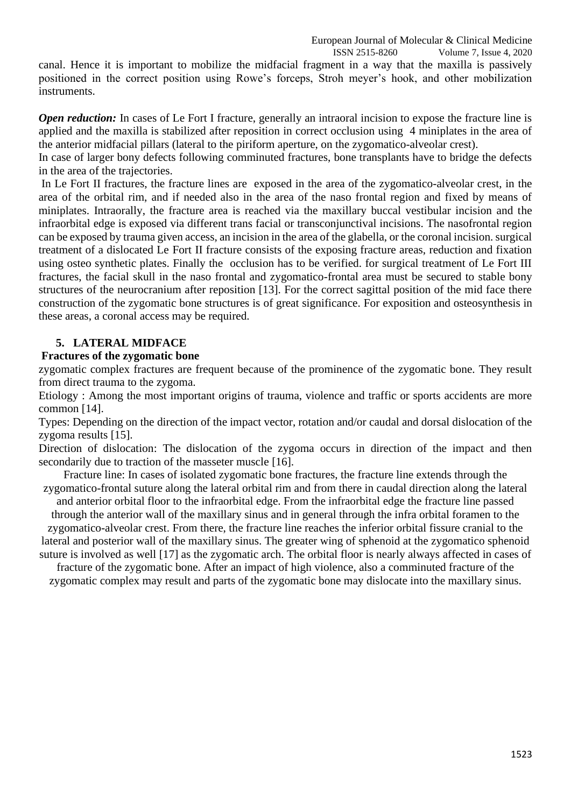European Journal of Molecular & Clinical Medicine

 ISSN 2515-8260 Volume 7, Issue 4, 2020 canal. Hence it is important to mobilize the midfacial fragment in a way that the maxilla is passively positioned in the correct position using Rowe's forceps, Stroh meyer's hook, and other mobilization instruments.

*Open reduction:* In cases of Le Fort I fracture, generally an intraoral incision to expose the fracture line is applied and the maxilla is stabilized after reposition in correct occlusion using 4 miniplates in the area of the anterior midfacial pillars (lateral to the piriform aperture, on the zygomatico-alveolar crest).

In case of larger bony defects following comminuted fractures, bone transplants have to bridge the defects in the area of the trajectories.

In Le Fort II fractures, the fracture lines are exposed in the area of the zygomatico-alveolar crest, in the area of the orbital rim, and if needed also in the area of the naso frontal region and fixed by means of miniplates. Intraorally, the fracture area is reached via the maxillary buccal vestibular incision and the infraorbital edge is exposed via different trans facial or transconjunctival incisions. The nasofrontal region can be exposed by trauma given access, an incision in the area of the glabella, or the coronal incision. surgical treatment of a dislocated Le Fort II fracture consists of the exposing fracture areas, reduction and fixation using osteo synthetic plates. Finally the occlusion has to be verified. for surgical treatment of Le Fort III fractures, the facial skull in the naso frontal and zygomatico-frontal area must be secured to stable bony structures of the neurocranium after reposition [13]. For the correct sagittal position of the mid face there construction of the zygomatic bone structures is of great significance. For exposition and osteosynthesis in these areas, a coronal access may be required.

# **5. LATERAL MIDFACE**

## **Fractures of the zygomatic bone**

zygomatic complex fractures are frequent because of the prominence of the zygomatic bone. They result from direct trauma to the zygoma.

Etiology : Among the most important origins of trauma, violence and traffic or sports accidents are more common [14].

Types: Depending on the direction of the impact vector, rotation and/or caudal and dorsal dislocation of the zygoma results [15].

Direction of dislocation: The dislocation of the zygoma occurs in direction of the impact and then secondarily due to traction of the masseter muscle [16].

Fracture line: In cases of isolated zygomatic bone fractures, the fracture line extends through the zygomatico-frontal suture along the lateral orbital rim and from there in caudal direction along the lateral

and anterior orbital floor to the infraorbital edge. From the infraorbital edge the fracture line passed through the anterior wall of the maxillary sinus and in general through the infra orbital foramen to the

zygomatico-alveolar crest. From there, the fracture line reaches the inferior orbital fissure cranial to the lateral and posterior wall of the maxillary sinus. The greater wing of sphenoid at the zygomatico sphenoid suture is involved as well [17] as the zygomatic arch. The orbital floor is nearly always affected in cases of

fracture of the zygomatic bone. After an impact of high violence, also a comminuted fracture of the zygomatic complex may result and parts of the zygomatic bone may dislocate into the maxillary sinus.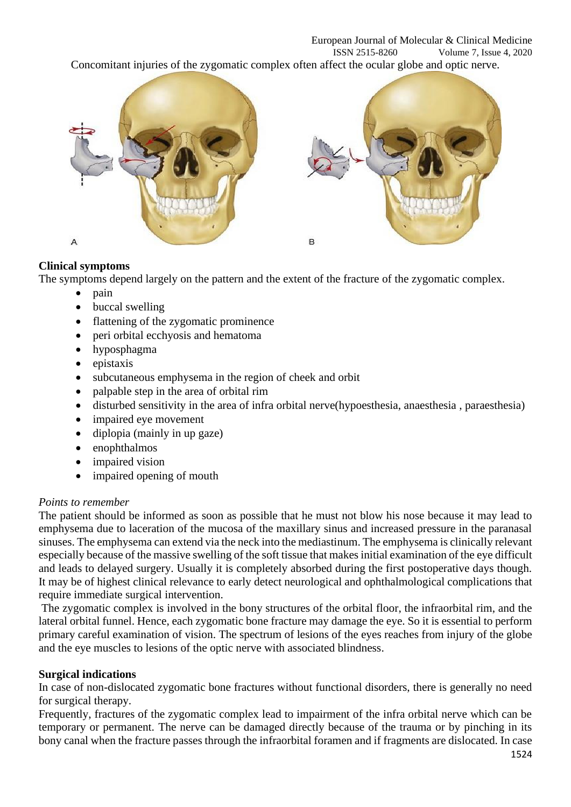

# **Clinical symptoms**

The symptoms depend largely on the pattern and the extent of the fracture of the zygomatic complex.

- pain
- buccal swelling
- flattening of the zygomatic prominence
- peri orbital ecchyosis and hematoma
- hyposphagma
- epistaxis
- subcutaneous emphysema in the region of cheek and orbit
- palpable step in the area of orbital rim
- disturbed sensitivity in the area of infra orbital nerve(hypoesthesia, anaesthesia , paraesthesia)
- impaired eye movement
- diplopia (mainly in up gaze)
- enophthalmos
- impaired vision
- impaired opening of mouth

## *Points to remember*

The patient should be informed as soon as possible that he must not blow his nose because it may lead to emphysema due to laceration of the mucosa of the maxillary sinus and increased pressure in the paranasal sinuses. The emphysema can extend via the neck into the mediastinum. The emphysema is clinically relevant especially because of the massive swelling of the soft tissue that makes initial examination of the eye difficult and leads to delayed surgery. Usually it is completely absorbed during the first postoperative days though. It may be of highest clinical relevance to early detect neurological and ophthalmological complications that require immediate surgical intervention.

The zygomatic complex is involved in the bony structures of the orbital floor, the infraorbital rim, and the lateral orbital funnel. Hence, each zygomatic bone fracture may damage the eye. So it is essential to perform primary careful examination of vision. The spectrum of lesions of the eyes reaches from injury of the globe and the eye muscles to lesions of the optic nerve with associated blindness.

## **Surgical indications**

In case of non-dislocated zygomatic bone fractures without functional disorders, there is generally no need for surgical therapy.

Frequently, fractures of the zygomatic complex lead to impairment of the infra orbital nerve which can be temporary or permanent. The nerve can be damaged directly because of the trauma or by pinching in its bony canal when the fracture passes through the infraorbital foramen and if fragments are dislocated. In case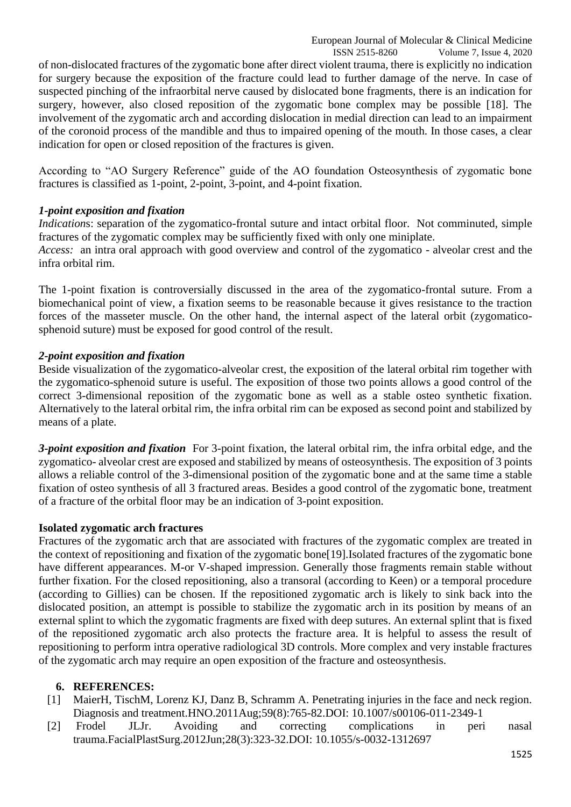ISSN 2515-8260 Volume 7, Issue 4, 2020 of non-dislocated fractures of the zygomatic bone after direct violent trauma, there is explicitly no indication for surgery because the exposition of the fracture could lead to further damage of the nerve. In case of suspected pinching of the infraorbital nerve caused by dislocated bone fragments, there is an indication for surgery, however, also closed reposition of the zygomatic bone complex may be possible [18]. The involvement of the zygomatic arch and according dislocation in medial direction can lead to an impairment of the coronoid process of the mandible and thus to impaired opening of the mouth. In those cases, a clear indication for open or closed reposition of the fractures is given.

According to "AO Surgery Reference" guide of the AO foundation Osteosynthesis of zygomatic bone fractures is classified as 1-point, 2-point, 3-point, and 4-point fixation.

## *1-point exposition and fixation*

*Indications:* separation of the zygomatico-frontal suture and intact orbital floor. Not comminuted, simple fractures of the zygomatic complex may be sufficiently fixed with only one miniplate.

*Access:* an intra oral approach with good overview and control of the zygomatico - alveolar crest and the infra orbital rim.

The 1-point fixation is controversially discussed in the area of the zygomatico-frontal suture. From a biomechanical point of view, a fixation seems to be reasonable because it gives resistance to the traction forces of the masseter muscle. On the other hand, the internal aspect of the lateral orbit (zygomaticosphenoid suture) must be exposed for good control of the result.

## *2-point exposition and fixation*

Beside visualization of the zygomatico-alveolar crest, the exposition of the lateral orbital rim together with the zygomatico-sphenoid suture is useful. The exposition of those two points allows a good control of the correct 3-dimensional reposition of the zygomatic bone as well as a stable osteo synthetic fixation. Alternatively to the lateral orbital rim, the infra orbital rim can be exposed as second point and stabilized by means of a plate.

*3-point exposition and fixation* For 3-point fixation, the lateral orbital rim, the infra orbital edge, and the zygomatico- alveolar crest are exposed and stabilized by means of osteosynthesis. The exposition of 3 points allows a reliable control of the 3-dimensional position of the zygomatic bone and at the same time a stable fixation of osteo synthesis of all 3 fractured areas. Besides a good control of the zygomatic bone, treatment of a fracture of the orbital floor may be an indication of 3-point exposition.

## **Isolated zygomatic arch fractures**

Fractures of the zygomatic arch that are associated with fractures of the zygomatic complex are treated in the context of repositioning and fixation of the zygomatic bone[19].Isolated fractures of the zygomatic bone have different appearances. M-or V-shaped impression. Generally those fragments remain stable without further fixation. For the closed repositioning, also a transoral (according to Keen) or a temporal procedure (according to Gillies) can be chosen. If the repositioned zygomatic arch is likely to sink back into the dislocated position, an attempt is possible to stabilize the zygomatic arch in its position by means of an external splint to which the zygomatic fragments are fixed with deep sutures. An external splint that is fixed of the repositioned zygomatic arch also protects the fracture area. It is helpful to assess the result of repositioning to perform intra operative radiological 3D controls. More complex and very instable fractures of the zygomatic arch may require an open exposition of the fracture and osteosynthesis.

# **6. REFERENCES:**

- [1] MaierH, TischM, Lorenz KJ, Danz B, Schramm A. Penetrating injuries in the face and neck region. Diagnosis and treatment.HNO.2011Aug;59(8):765-82.DOI: 10.1007/s00106-011-2349-1
- [2] Frodel JLJr. Avoiding and correcting complications in peri nasal trauma.FacialPlastSurg.2012Jun;28(3):323-32.DOI: 10.1055/s-0032-1312697